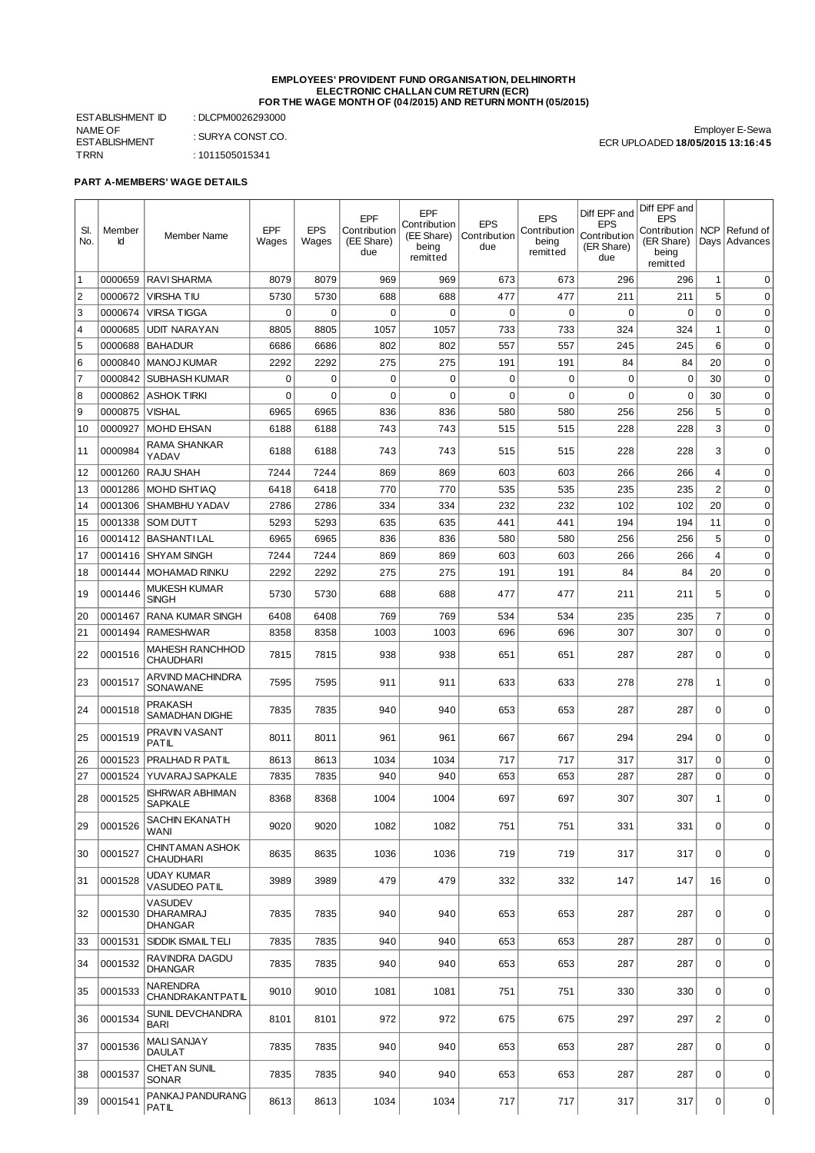## **EMPLOYEES' PROVIDENT FUND ORGANISATION, DELHINORTH ELECTRONIC CHALLAN CUM RETURN (ECR) FOR THE WAGE MONTH OF (04/2015) AND RETURN MONTH (05/2015)**

ESTABLISHMENT ID : DLCPM0026293000 NAME OF ESTABLISHMENT<br>TRRN : SURYA CONST.CO.  $: 1011505015341$ 

Employer E-Sewa ECR UPLOADED **18/05/2015 13:16:45**

**PART A-MEMBERS' WAGE DETAILS**

| SI.<br>No.     | Member<br>Id | <b>Member Name</b>                     | EPF<br>Wages | <b>EPS</b><br>Wages | EPF<br>Contribution<br>(EE Share)<br>due | <b>EPF</b><br>Contribution<br>(EE Share)<br>being<br>remitted | <b>EPS</b><br>Contribution<br>due | <b>EPS</b><br>Contribution<br>being<br>remitted | Diff EPF and<br><b>EPS</b><br>Contribution<br>(ER Share)<br>due | Diff EPF and<br><b>EPS</b><br>Contribution<br>(ER Share)<br>being<br>remitted | <b>NCP</b>     | Refund of<br>Days Advances |
|----------------|--------------|----------------------------------------|--------------|---------------------|------------------------------------------|---------------------------------------------------------------|-----------------------------------|-------------------------------------------------|-----------------------------------------------------------------|-------------------------------------------------------------------------------|----------------|----------------------------|
| $\mathbf{1}$   | 0000659      | <b>RAVI SHARMA</b>                     | 8079         | 8079                | 969                                      | 969                                                           | 673                               | 673                                             | 296                                                             | 296                                                                           | $1\,$          | 0                          |
| $\overline{c}$ | 0000672      | VIRSHA TIU                             | 5730         | 5730                | 688                                      | 688                                                           | 477                               | 477                                             | 211                                                             | 211                                                                           | 5              | $\mathbf 0$                |
| 3              | 0000674      | <b>VIRSA TIGGA</b>                     | 0            | $\mathbf 0$         | $\mathbf 0$                              | $\mathbf 0$                                                   | $\mathbf 0$                       | $\mathbf 0$                                     | $\mathbf 0$                                                     | $\mathbf 0$                                                                   | $\mathbf 0$    | $\mathbf 0$                |
| 4              | 0000685      | UDIT NARAYAN                           | 8805         | 8805                | 1057                                     | 1057                                                          | 733                               | 733                                             | 324                                                             | 324                                                                           | $\mathbf 1$    | $\mathbf 0$                |
| 5              | 0000688      | <b>BAHADUR</b>                         | 6686         | 6686                | 802                                      | 802                                                           | 557                               | 557                                             | 245                                                             | 245                                                                           | 6              | $\mathbf 0$                |
| 6              | 0000840      | <b>MANOJ KUMAR</b>                     | 2292         | 2292                | 275                                      | 275                                                           | 191                               | 191                                             | 84                                                              | 84                                                                            | 20             | $\mathbf 0$                |
| $\overline{7}$ | 0000842      | <b>SUBHASH KUMAR</b>                   | 0            | 0                   | $\mathbf 0$                              | $\mathbf 0$                                                   | 0                                 | $\mathbf 0$                                     | $\mathbf 0$                                                     | 0                                                                             | 30             | $\mathbf 0$                |
| 8              | 0000862      | <b>ASHOK TIRKI</b>                     | 0            | 0                   | $\mathbf 0$                              | 0                                                             | 0                                 | $\mathbf 0$                                     | 0                                                               | 0                                                                             | 30             | 0                          |
| 9              | 0000875      | VISHAL                                 | 6965         | 6965                | 836                                      | 836                                                           | 580                               | 580                                             | 256                                                             | 256                                                                           | 5              | 0                          |
| 10             | 0000927      | <b>MOHD EHSAN</b>                      | 6188         | 6188                | 743                                      | 743                                                           | 515                               | 515                                             | 228                                                             | 228                                                                           | 3              | $\mathbf 0$                |
| 11             | 0000984      | RAMA SHANKAR<br>YADAV                  | 6188         | 6188                | 743                                      | 743                                                           | 515                               | 515                                             | 228                                                             | 228                                                                           | 3              | $\mathbf 0$                |
| 12             | 0001260      | RAJU SHAH                              | 7244         | 7244                | 869                                      | 869                                                           | 603                               | 603                                             | 266                                                             | 266                                                                           | $\overline{4}$ | $\mathbf 0$                |
| 13             | 0001286      | MOHD ISHTIAQ                           | 6418         | 6418                | 770                                      | 770                                                           | 535                               | 535                                             | 235                                                             | 235                                                                           | $\overline{2}$ | $\mathbf 0$                |
| 14             | 0001306      | SHAMBHU YADAV                          | 2786         | 2786                | 334                                      | 334                                                           | 232                               | 232                                             | 102                                                             | 102                                                                           | 20             | $\mathbf 0$                |
| 15             | 0001338      | <b>SOM DUTT</b>                        | 5293         | 5293                | 635                                      | 635                                                           | 441                               | 441                                             | 194                                                             | 194                                                                           | 11             | $\mathbf 0$                |
| 16             | 0001412      | <b>BASHANTILAL</b>                     | 6965         | 6965                | 836                                      | 836                                                           | 580                               | 580                                             | 256                                                             | 256                                                                           | 5              | $\mathbf 0$                |
| 17             | 0001416      | <b>SHYAM SINGH</b>                     | 7244         | 7244                | 869                                      | 869                                                           | 603                               | 603                                             | 266                                                             | 266                                                                           | 4              | $\mathbf 0$                |
| 18             | 0001444      | <b>MOHAMAD RINKU</b>                   | 2292         | 2292                | 275                                      | 275                                                           | 191                               | 191                                             | 84                                                              | 84                                                                            | 20             | 0                          |
| 19             | 0001446      | MUKESH KUMAR<br>SINGH                  | 5730         | 5730                | 688                                      | 688                                                           | 477                               | 477                                             | 211                                                             | 211                                                                           | 5              | $\mathbf 0$                |
| 20             | 0001467      | <b>RANA KUMAR SINGH</b>                | 6408         | 6408                | 769                                      | 769                                                           | 534                               | 534                                             | 235                                                             | 235                                                                           | $\overline{7}$ | $\mathbf 0$                |
| 21             | 0001494      | <b>RAMESHWAR</b>                       | 8358         | 8358                | 1003                                     | 1003                                                          | 696                               | 696                                             | 307                                                             | 307                                                                           | $\mathbf 0$    | $\mathbf 0$                |
| 22             | 0001516      | MAHESH RANCHHOD<br><b>CHAUDHARI</b>    | 7815         | 7815                | 938                                      | 938                                                           | 651                               | 651                                             | 287                                                             | 287                                                                           | $\mathbf 0$    | 0                          |
| 23             | 0001517      | ARVIND MACHINDRA<br>SONAWANE           | 7595         | 7595                | 911                                      | 911                                                           | 633                               | 633                                             | 278                                                             | 278                                                                           | 1              | $\mathbf 0$                |
| 24             | 0001518      | PRAKASH<br>SAMADHAN DIGHE              | 7835         | 7835                | 940                                      | 940                                                           | 653                               | 653                                             | 287                                                             | 287                                                                           | $\mathbf 0$    | $\mathbf 0$                |
| 25             | 0001519      | PRAVIN VASANT<br>PATIL                 | 8011         | 8011                | 961                                      | 961                                                           | 667                               | 667                                             | 294                                                             | 294                                                                           | $\mathbf 0$    | $\mathbf 0$                |
| 26             | 0001523      | PRALHAD R PATIL                        | 8613         | 8613                | 1034                                     | 1034                                                          | 717                               | 717                                             | 317                                                             | 317                                                                           | 0              | $\mathbf 0$                |
| 27             | 0001524      | YUVARAJ SAPKALE                        | 7835         | 7835                | 940                                      | 940                                                           | 653                               | 653                                             | 287                                                             | 287                                                                           | 0              | 0                          |
| 28             | 0001525      | ISHRWAR ABHIMAN<br><b>SAPKALE</b>      | 8368         | 8368                | 1004                                     | 1004                                                          | 697                               | 697                                             | 307                                                             | 307                                                                           | 1              | $\mathbf 0$                |
| 29             | 0001526      | SACHIN EKANATH<br>WANI                 | 9020         | 9020                | 1082                                     | 1082                                                          | 751                               | 751                                             | 331                                                             | 331                                                                           | $\mathbf 0$    | $\mathbf 0$                |
| 30             | 0001527      | CHINT AMAN ASHOK<br>CHAUDHARI          | 8635         | 8635                | 1036                                     | 1036                                                          | 719                               | 719                                             | 317                                                             | 317                                                                           | $\mathbf 0$    | 0                          |
| 31             | 0001528      | UDAY KUMAR<br>VASUDEO PATIL            | 3989         | 3989                | 479                                      | 479                                                           | 332                               | 332                                             | 147                                                             | 147                                                                           | 16             | $\mathbf 0$                |
| 32             | 0001530      | VASUDEV<br><b>DHARAMRAJ</b><br>DHANGAR | 7835         | 7835                | 940                                      | 940                                                           | 653                               | 653                                             | 287                                                             | 287                                                                           | $\mathbf 0$    | $\mathbf 0$                |
| 33             | 0001531      | <b>SIDDIK ISMAIL TELI</b>              | 7835         | 7835                | 940                                      | 940                                                           | 653                               | 653                                             | 287                                                             | 287                                                                           | $\mathbf 0$    | $\mathbf 0$                |
| 34             | 0001532      | RAVINDRA DAGDU<br><b>DHANGAR</b>       | 7835         | 7835                | 940                                      | 940                                                           | 653                               | 653                                             | 287                                                             | 287                                                                           | $\mathbf 0$    | $\mathbf 0$                |
| 35             | 0001533      | NARENDRA<br>CHANDRAKANTPATIL           | 9010         | 9010                | 1081                                     | 1081                                                          | 751                               | 751                                             | 330                                                             | 330                                                                           | $\mathbf 0$    | $\mathbf 0$                |
| 36             | 0001534      | SUNIL DEVCHANDRA<br>BARI               | 8101         | 8101                | 972                                      | 972                                                           | 675                               | 675                                             | 297                                                             | 297                                                                           | $\overline{c}$ | $\mathbf 0$                |
| 37             | 0001536      | <b>MALI SANJAY</b><br>DAULAT           | 7835         | 7835                | 940                                      | 940                                                           | 653                               | 653                                             | 287                                                             | 287                                                                           | $\mathbf 0$    | 0                          |
| 38             | 0001537      | CHET AN SUNIL<br>SONAR                 | 7835         | 7835                | 940                                      | 940                                                           | 653                               | 653                                             | 287                                                             | 287                                                                           | $\mathbf 0$    | $\mathbf 0$                |
| 39             | 0001541      | PANKAJ PANDURANG<br>PATIL              | 8613         | 8613                | 1034                                     | 1034                                                          | 717                               | 717                                             | 317                                                             | 317                                                                           | 0              | 0                          |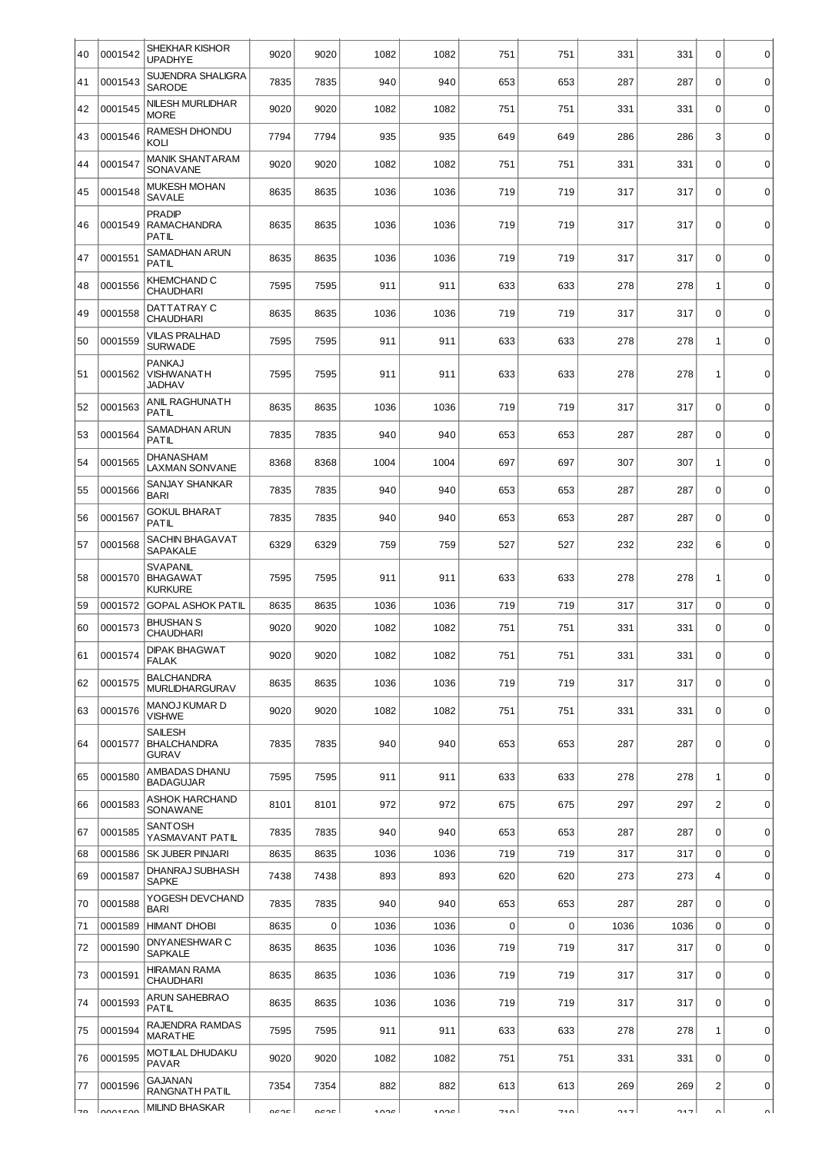| 40 | 0001542 | SHEKHAR KISHOR<br><b>UPADHYE</b>                     | 9020 | 9020        | 1082 | 1082 | 751         | 751         | 331  | 331  | $\mathbf 0$    | $\mathbf 0$ |
|----|---------|------------------------------------------------------|------|-------------|------|------|-------------|-------------|------|------|----------------|-------------|
| 41 | 0001543 | SUJENDRA SHALIGRA<br><b>SARODE</b>                   | 7835 | 7835        | 940  | 940  | 653         | 653         | 287  | 287  | $\mathbf 0$    | $\mathbf 0$ |
| 42 | 0001545 | NILESH MURLIDHAR<br><b>MORE</b>                      | 9020 | 9020        | 1082 | 1082 | 751         | 751         | 331  | 331  | $\mathbf 0$    | $\mathbf 0$ |
| 43 | 0001546 | RAMESH DHONDU<br>KOLI                                | 7794 | 7794        | 935  | 935  | 649         | 649         | 286  | 286  | 3              | $\mathbf 0$ |
| 44 | 0001547 | <b>MANIK SHANTARAM</b><br><b>SONAVANE</b>            | 9020 | 9020        | 1082 | 1082 | 751         | 751         | 331  | 331  | $\mathbf 0$    | $\mathbf 0$ |
| 45 | 0001548 | <b>MUKESH MOHAN</b><br>SAVALE                        | 8635 | 8635        | 1036 | 1036 | 719         | 719         | 317  | 317  | $\mathbf 0$    | $\mathbf 0$ |
| 46 | 0001549 | <b>PRADIP</b><br><b>RAMACHANDRA</b><br>PATIL         | 8635 | 8635        | 1036 | 1036 | 719         | 719         | 317  | 317  | $\mathbf 0$    | $\mathbf 0$ |
| 47 | 0001551 | SAMADHAN ARUN<br>PATIL                               | 8635 | 8635        | 1036 | 1036 | 719         | 719         | 317  | 317  | $\mathbf 0$    | $\mathbf 0$ |
| 48 | 0001556 | KHEMCHAND C<br><b>CHAUDHARI</b>                      | 7595 | 7595        | 911  | 911  | 633         | 633         | 278  | 278  | $\mathbf{1}$   | $\mathbf 0$ |
| 49 | 0001558 | DATTATRAY C<br><b>CHAUDHARI</b>                      | 8635 | 8635        | 1036 | 1036 | 719         | 719         | 317  | 317  | $\mathbf 0$    | $\mathbf 0$ |
| 50 | 0001559 | <b>VILAS PRALHAD</b><br><b>SURWADE</b>               | 7595 | 7595        | 911  | 911  | 633         | 633         | 278  | 278  | $\mathbf{1}$   | $\mathbf 0$ |
| 51 | 0001562 | <b>PANKAJ</b><br>VISHWANATH<br>JADHAV                | 7595 | 7595        | 911  | 911  | 633         | 633         | 278  | 278  | $\mathbf{1}$   | $\mathbf 0$ |
| 52 | 0001563 | ANIL RAGHUNATH<br>PATIL                              | 8635 | 8635        | 1036 | 1036 | 719         | 719         | 317  | 317  | $\mathbf 0$    | $\mathbf 0$ |
| 53 | 0001564 | SAMADHAN ARUN<br>PATIL                               | 7835 | 7835        | 940  | 940  | 653         | 653         | 287  | 287  | $\mathbf 0$    | $\mathbf 0$ |
| 54 | 0001565 | <b>DHANASHAM</b><br><b>LAXMAN SONVANE</b>            | 8368 | 8368        | 1004 | 1004 | 697         | 697         | 307  | 307  | 1              | $\mathbf 0$ |
| 55 | 0001566 | SANJAY SHANKAR<br>BARI                               | 7835 | 7835        | 940  | 940  | 653         | 653         | 287  | 287  | $\mathbf 0$    | $\mathbf 0$ |
| 56 | 0001567 | GOKUL BHARAT<br>PATIL                                | 7835 | 7835        | 940  | 940  | 653         | 653         | 287  | 287  | $\mathbf 0$    | $\mathbf 0$ |
| 57 | 0001568 | SACHIN BHAGAVAT<br>SAPAKALE                          | 6329 | 6329        | 759  | 759  | 527         | 527         | 232  | 232  | 6              | $\mathbf 0$ |
| 58 | 0001570 | <b>SVAPANIL</b><br><b>BHAGAWAT</b><br><b>KURKURE</b> | 7595 | 7595        | 911  | 911  | 633         | 633         | 278  | 278  | $\mathbf 1$    | $\mathbf 0$ |
| 59 | 0001572 | GOPAL ASHOK PATIL<br><b>BHUSHAN S</b>                | 8635 | 8635        | 1036 | 1036 | 719         | 719         | 317  | 317  | $\mathbf 0$    | $\mathbf 0$ |
| 60 | 0001573 | <b>CHAUDHARI</b>                                     | 9020 | 9020        | 1082 | 1082 | 751         | 751         | 331  | 331  | $\mathbf 0$    | $\mathbf 0$ |
| 61 | 0001574 | <b>DIPAK BHAGWAT</b><br>FALAK                        | 9020 | 9020        | 1082 | 1082 | 751         | 751         | 331  | 331  | 0              | 0           |
| 62 | 0001575 | <b>BALCHANDRA</b><br>MURLIDHARGURAV                  | 8635 | 8635        | 1036 | 1036 | 719         | 719         | 317  | 317  | $\mathbf 0$    | $\mathbf 0$ |
| 63 | 0001576 | MANOJ KUMAR D<br>VISHWE                              | 9020 | 9020        | 1082 | 1082 | 751         | 751         | 331  | 331  | $\mathbf 0$    | $\mathbf 0$ |
| 64 | 0001577 | SAILESH<br><b>BHALCHANDRA</b><br><b>GURAV</b>        | 7835 | 7835        | 940  | 940  | 653         | 653         | 287  | 287  | $\mathbf 0$    | $\mathbf 0$ |
| 65 | 0001580 | AMBADAS DHANU<br><b>BADAGUJAR</b>                    | 7595 | 7595        | 911  | 911  | 633         | 633         | 278  | 278  | 1              | $\mathbf 0$ |
| 66 | 0001583 | ASHOK HARCHAND<br>SONAWANE                           | 8101 | 8101        | 972  | 972  | 675         | 675         | 297  | 297  | $\overline{2}$ | $\mathbf 0$ |
| 67 | 0001585 | SANTOSH<br>YASMAVANT PATIL                           | 7835 | 7835        | 940  | 940  | 653         | 653         | 287  | 287  | $\mathbf 0$    | $\mathbf 0$ |
| 68 | 0001586 | SK JUBER PINJARI                                     | 8635 | 8635        | 1036 | 1036 | 719         | 719         | 317  | 317  | $\mathbf 0$    | $\mathbf 0$ |
| 69 | 0001587 | DHANRAJ SUBHASH<br>SAPKE                             | 7438 | 7438        | 893  | 893  | 620         | 620         | 273  | 273  | $\overline{4}$ | $\mathbf 0$ |
| 70 | 0001588 | YOGESH DEVCHAND<br>BARI                              | 7835 | 7835        | 940  | 940  | 653         | 653         | 287  | 287  | $\Omega$       | $\mathbf 0$ |
| 71 | 0001589 | <b>HIMANT DHOBI</b>                                  | 8635 | $\mathbf 0$ | 1036 | 1036 | $\mathbf 0$ | $\mathbf 0$ | 1036 | 1036 | $\mathbf 0$    | $\mathbf 0$ |
| 72 | 0001590 | DNYANESHWAR C<br><b>SAPKALE</b>                      | 8635 | 8635        | 1036 | 1036 | 719         | 719         | 317  | 317  | $\mathbf 0$    | $\mathbf 0$ |
| 73 | 0001591 | <b>HIRAMAN RAMA</b><br>CHAUDHARI                     | 8635 | 8635        | 1036 | 1036 | 719         | 719         | 317  | 317  | $\mathbf 0$    | $\mathbf 0$ |
| 74 | 0001593 | ARUN SAHEBRAO<br>PATIL                               | 8635 | 8635        | 1036 | 1036 | 719         | 719         | 317  | 317  | $\mathbf 0$    | $\mathbf 0$ |
| 75 | 0001594 | RAJENDRA RAMDAS<br><b>MARATHE</b>                    | 7595 | 7595        | 911  | 911  | 633         | 633         | 278  | 278  | 1              | $\pmb{0}$   |
| 76 | 0001595 | MOTILAL DHUDAKU<br>PAVAR                             | 9020 | 9020        | 1082 | 1082 | 751         | 751         | 331  | 331  | 0              | $\mathbf 0$ |
| 77 | 0001596 | GAJANAN<br>RANGNATH PATIL                            | 7354 | 7354        | 882  | 882  | 613         | 613         | 269  | 269  | $\overline{c}$ | $\mathbf 0$ |
| 70 | nonerno | <b>MILIND BHASKAR</b>                                | ocor | OCOE        | 100c | 100c | 710         | 710         | 217  | 217  | $\sim$         |             |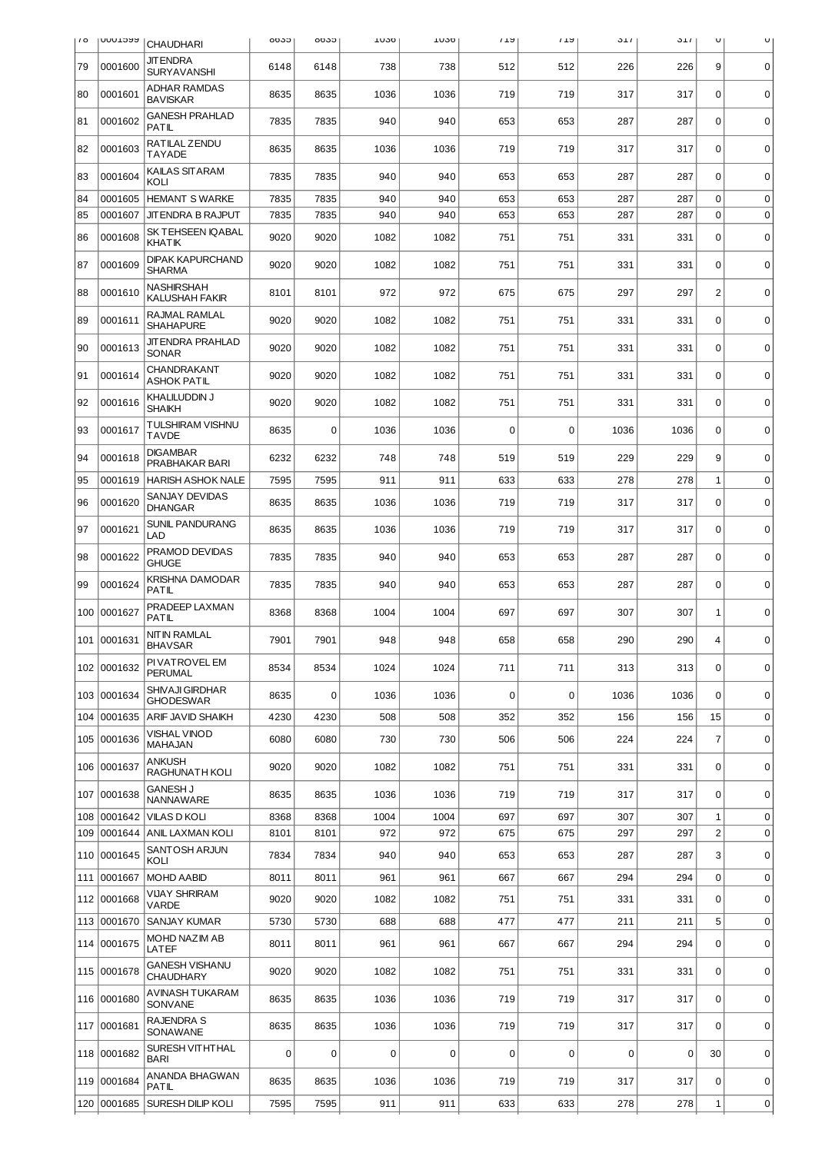| 10  | <b>UUULDYY</b> | <b>CHAUDHARI</b>                         | ჿჿკე | 0030        | TO20 | TU20 | 172         | 172         | <b>J</b> <sub>1</sub> | <b>J</b> <sub>1</sub> | U                | U           |
|-----|----------------|------------------------------------------|------|-------------|------|------|-------------|-------------|-----------------------|-----------------------|------------------|-------------|
| 79  | 0001600        | JIT ENDRA<br><b>SURYAVANSHI</b>          | 6148 | 6148        | 738  | 738  | 512         | 512         | 226                   | 226                   | 9                | 0           |
| 80  | 0001601        | <b>ADHAR RAMDAS</b><br><b>BAVISKAR</b>   | 8635 | 8635        | 1036 | 1036 | 719         | 719         | 317                   | 317                   | $\mathbf 0$      | $\mathbf 0$ |
| 81  | 0001602        | <b>GANESH PRAHLAD</b><br>PATIL           | 7835 | 7835        | 940  | 940  | 653         | 653         | 287                   | 287                   | $\mathbf 0$      | $\mathbf 0$ |
| 82  | 0001603        | RATILAL ZENDU<br><b>TAYADE</b>           | 8635 | 8635        | 1036 | 1036 | 719         | 719         | 317                   | 317                   | $\mathbf 0$      | $\mathbf 0$ |
| 83  | 0001604        | KAILAS SITARAM<br>KOLI                   | 7835 | 7835        | 940  | 940  | 653         | 653         | 287                   | 287                   | 0                | $\mathbf 0$ |
| 84  | 0001605        | <b>HEMANT S WARKE</b>                    | 7835 | 7835        | 940  | 940  | 653         | 653         | 287                   | 287                   | $\mathbf 0$      | $\mathbf 0$ |
| 85  | 0001607        | JIT ENDRA B RAJPUT                       | 7835 | 7835        | 940  | 940  | 653         | 653         | 287                   | 287                   | $\mathbf 0$      | $\mathbf 0$ |
| 86  | 0001608        | SK TEHSEEN IQABAL<br><b>KHAT IK</b>      | 9020 | 9020        | 1082 | 1082 | 751         | 751         | 331                   | 331                   | $\mathbf 0$      | $\mathbf 0$ |
| 87  | 0001609        | <b>DIPAK KAPURCHAND</b><br><b>SHARMA</b> | 9020 | 9020        | 1082 | 1082 | 751         | 751         | 331                   | 331                   | $\Omega$         | $\mathbf 0$ |
| 88  | 0001610        | NASHIRSHAH<br><b>KALUSHAH FAKIR</b>      | 8101 | 8101        | 972  | 972  | 675         | 675         | 297                   | 297                   | $\overline{c}$   | $\mathbf 0$ |
| 89  | 0001611        | RAJMAL RAMLAL<br><b>SHAHAPURE</b>        | 9020 | 9020        | 1082 | 1082 | 751         | 751         | 331                   | 331                   | $\mathbf 0$      | 0           |
| 90  | 0001613        | <b>JIT ENDRA PRAHLAD</b><br><b>SONAR</b> | 9020 | 9020        | 1082 | 1082 | 751         | 751         | 331                   | 331                   | $\mathbf 0$      | $\mathbf 0$ |
| 91  | 0001614        | CHANDRAKANT<br><b>ASHOK PATIL</b>        | 9020 | 9020        | 1082 | 1082 | 751         | 751         | 331                   | 331                   | $\mathbf 0$      | $\mathbf 0$ |
| 92  | 0001616        | KHALILUDDIN J<br>SHAIKH                  | 9020 | 9020        | 1082 | 1082 | 751         | 751         | 331                   | 331                   | $\mathbf 0$      | $\mathbf 0$ |
| 93  | 0001617        | TULSHIRAM VISHNU<br><b>TAVDE</b>         | 8635 | $\Omega$    | 1036 | 1036 | 0           | $\Omega$    | 1036                  | 1036                  | $\Omega$         | $\mathbf 0$ |
| 94  | 0001618        | <b>DIGAMBAR</b><br>PRABHAKAR BARI        | 6232 | 6232        | 748  | 748  | 519         | 519         | 229                   | 229                   | 9                | 0           |
| 95  | 0001619        | <b>HARISH ASHOK NALE</b>                 | 7595 | 7595        | 911  | 911  | 633         | 633         | 278                   | 278                   | 1                | $\mathbf 0$ |
| 96  | 0001620        | SANJAY DEVIDAS<br><b>DHANGAR</b>         | 8635 | 8635        | 1036 | 1036 | 719         | 719         | 317                   | 317                   | $\mathbf 0$      | $\mathbf 0$ |
| 97  | 0001621        | <b>SUNIL PANDURANG</b><br>LAD            | 8635 | 8635        | 1036 | 1036 | 719         | 719         | 317                   | 317                   | $\Omega$         | $\mathbf 0$ |
| 98  | 0001622        | PRAMOD DEVIDAS<br><b>GHUGE</b>           | 7835 | 7835        | 940  | 940  | 653         | 653         | 287                   | 287                   | $\mathbf 0$      | $\mathbf 0$ |
| 99  | 0001624        | KRISHNA DAMODAR<br>PATIL                 | 7835 | 7835        | 940  | 940  | 653         | 653         | 287                   | 287                   | $\mathbf 0$      | $\mathbf 0$ |
| 100 | 0001627        | PRADEEP LAXMAN<br>PATIL                  | 8368 | 8368        | 1004 | 1004 | 697         | 697         | 307                   | 307                   | 1                | $\mathbf 0$ |
| 101 | 0001631        | <b>NITIN RAMLAL</b><br><b>BHAVSAR</b>    | 7901 | 7901        | 948  | 948  | 658         | 658         | 290                   | 290                   | 4                | $\mathbf 0$ |
| 102 | 0001632        | PI VAT ROVEL EM<br>PERUMAL               | 8534 | 8534        | 1024 | 1024 | 711         | 711         | 313                   | 313                   | $\mathbf 0$      | $\mathbf 0$ |
|     | 103 0001634    | SHIVAJI GIRDHAR<br><b>GHODESWAR</b>      | 8635 | $\mathbf 0$ | 1036 | 1036 | $\mathbf 0$ | $\mathbf 0$ | 1036                  | 1036                  | $\mathbf 0$      | $\mathbf 0$ |
| 104 | 0001635        | ARIF JAVID SHAIKH                        | 4230 | 4230        | 508  | 508  | 352         | 352         | 156                   | 156                   | 15               | $\mathbf 0$ |
| 105 | 0001636        | <b>VISHAL VINOD</b><br>MAHAJAN           | 6080 | 6080        | 730  | 730  | 506         | 506         | 224                   | 224                   | $\overline{7}$   | $\mathbf 0$ |
| 106 | 0001637        | <b>ANKUSH</b><br>RAGHUNATH KOLI          | 9020 | 9020        | 1082 | 1082 | 751         | 751         | 331                   | 331                   | $\mathbf 0$      | $\pmb{0}$   |
| 107 | 0001638        | <b>GANESH J</b><br>NANNAWARE             | 8635 | 8635        | 1036 | 1036 | 719         | 719         | 317                   | 317                   | 0                | 0           |
| 108 | 0001642        | <b>VILAS D KOLI</b>                      | 8368 | 8368        | 1004 | 1004 | 697         | 697         | 307                   | 307                   | 1                | $\mathbf 0$ |
| 109 |                | 0001644   ANIL LAXMAN KOLI               | 8101 | 8101        | 972  | 972  | 675         | 675         | 297                   | 297                   | $\overline{c}$   | $\mathbf 0$ |
| 110 | 0001645        | SANTOSH ARJUN<br>KOLI                    | 7834 | 7834        | 940  | 940  | 653         | 653         | 287                   | 287                   | 3                | $\mathbf 0$ |
| 111 | 0001667        | <b>MOHD AABID</b>                        | 8011 | 8011        | 961  | 961  | 667         | 667         | 294                   | 294                   | $\boldsymbol{0}$ | $\mathbf 0$ |
| 112 | 0001668        | <b>VIJAY SHRIRAM</b><br>VARDE            | 9020 | 9020        | 1082 | 1082 | 751         | 751         | 331                   | 331                   | $\mathbf 0$      | $\mathbf 0$ |
| 113 | 0001670        | SANJAY KUMAR                             | 5730 | 5730        | 688  | 688  | 477         | 477         | 211                   | 211                   | 5                | $\mathbf 0$ |
| 114 | 0001675        | MOHD NAZIM AB<br>LATEF                   | 8011 | 8011        | 961  | 961  | 667         | 667         | 294                   | 294                   | $\mathbf 0$      | $\mathbf 0$ |
|     | 115 0001678    | <b>GANESH VISHANU</b><br>CHAUDHARY       | 9020 | 9020        | 1082 | 1082 | 751         | 751         | 331                   | 331                   | $\mathbf 0$      | $\mathbf 0$ |
| 116 | 0001680        | AVINASH TUKARAM<br>SONVANE               | 8635 | 8635        | 1036 | 1036 | 719         | 719         | 317                   | 317                   | $\Omega$         | $\mathbf 0$ |
| 117 | 0001681        | RAJENDRA S<br><b>SONAWANE</b>            | 8635 | 8635        | 1036 | 1036 | 719         | 719         | 317                   | 317                   | $\mathbf 0$      | $\mathbf 0$ |
|     | 118 0001682    | SURESH VITHTHAL<br><b>BARI</b>           | 0    | 0           | 0    | 0    | $\mathbf 0$ | $\mathbf 0$ | 0                     | $\mathbf 0$           | 30               | $\mathbf 0$ |
| 119 | 0001684        | ANANDA BHAGWAN<br>PATIL                  | 8635 | 8635        | 1036 | 1036 | 719         | 719         | 317                   | 317                   | $\mathbf 0$      | $\mathbf 0$ |
| 120 | 0001685        | SURESH DILIP KOLI                        | 7595 | 7595        | 911  | 911  | 633         | 633         | 278                   | 278                   | $\mathbf 1$      | 0           |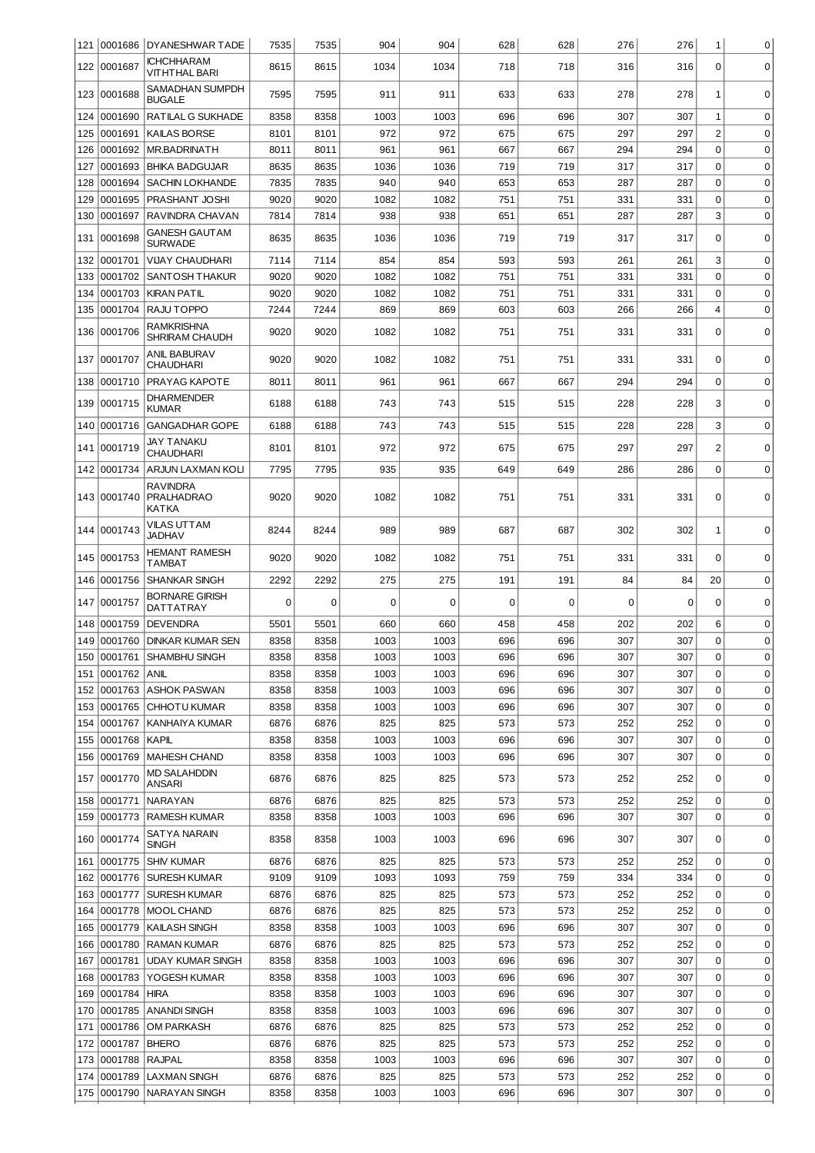|            |                    | 121 0001686 DYANESHWAR TADE                   | 7535         | 7535         | 904         | 904         | 628        | 628        | 276        | 276        | $\mathbf 1$      | 0           |
|------------|--------------------|-----------------------------------------------|--------------|--------------|-------------|-------------|------------|------------|------------|------------|------------------|-------------|
| 122        | 0001687            | ICHCHHARAM<br><b>VITHTHAL BARI</b>            | 8615         | 8615         | 1034        | 1034        | 718        | 718        | 316        | 316        | $\mathbf 0$      | 0           |
| 123        | 0001688            | SAMADHAN SUMPDH<br><b>BUGALE</b>              | 7595         | 7595         | 911         | 911         | 633        | 633        | 278        | 278        | 1                | $\mathbf 0$ |
| 124        | 0001690            | RATILAL G SUKHADE                             | 8358         | 8358         | 1003        | 1003        | 696        | 696        | 307        | 307        | $\mathbf{1}$     | $\mathbf 0$ |
| 125        | 0001691            | KAILAS BORSE                                  | 8101         | 8101         | 972         | 972         | 675        | 675        | 297        | 297        | $\overline{c}$   | $\mathbf 0$ |
| 126        | 0001692            | MR.BADRINATH                                  | 8011         | 8011         | 961         | 961         | 667        | 667        | 294        | 294        | $\mathbf 0$      | $\mathbf 0$ |
| 127        | 0001693            | <b>BHIKA BADGUJAR</b>                         | 8635         | 8635         | 1036        | 1036        | 719        | 719        | 317        | 317        | $\mathbf 0$      | $\mathbf 0$ |
| 128        | 0001694            | <b>SACHIN LOKHANDE</b>                        | 7835         | 7835         | 940         | 940         | 653        | 653        | 287        | 287        | $\mathbf 0$      | $\mathbf 0$ |
| 129        | 0001695            | PRASHANT JOSHI                                | 9020         | 9020         | 1082        | 1082        | 751        | 751        | 331        | 331        | 0                | $\mathbf 0$ |
| 130        | 0001697            | RAVINDRA CHAVAN                               | 7814         | 7814         | 938         | 938         | 651        | 651        | 287        | 287        | 3                | $\mathbf 0$ |
| 131        | 0001698            | GANESH GAUT AM<br><b>SURWADE</b>              | 8635         | 8635         | 1036        | 1036        | 719        | 719        | 317        | 317        | $\mathbf 0$      | $\mathbf 0$ |
| 132        | 0001701            | <b>VIJAY CHAUDHARI</b>                        | 7114         | 7114         | 854         | 854         | 593        | 593        | 261        | 261        | 3                | $\mathbf 0$ |
| 133        | 0001702            | <b>SANTOSH THAKUR</b>                         | 9020         | 9020         | 1082        | 1082        | 751        | 751        | 331        | 331        | $\mathbf 0$      | $\mathbf 0$ |
| 134        | 0001703            | <b>KIRAN PATIL</b>                            | 9020         | 9020         | 1082        | 1082        | 751        | 751        | 331        | 331        | $\mathbf 0$      | $\mathbf 0$ |
| 135        | 0001704            | RAJU TOPPO                                    | 7244         | 7244         | 869         | 869         | 603        | 603        | 266        | 266        | $\overline{4}$   | $\mathbf 0$ |
| 136        | 0001706            | RAMKRISHNA<br>SHRIRAM CHAUDH                  | 9020         | 9020         | 1082        | 1082        | 751        | 751        | 331        | 331        | $\mathbf 0$      | $\mathbf 0$ |
| 137        | 0001707            | ANIL BABURAV<br>CHAUDHARI                     | 9020         | 9020         | 1082        | 1082        | 751        | 751        | 331        | 331        | $\mathbf 0$      | $\mathbf 0$ |
| 138        | 0001710            | PRAYAG KAPOTE                                 | 8011         | 8011         | 961         | 961         | 667        | 667        | 294        | 294        | $\mathbf 0$      | $\mathbf 0$ |
| 139        | 0001715            | DHARMENDER<br>KUMAR                           | 6188         | 6188         | 743         | 743         | 515        | 515        | 228        | 228        | 3                | $\mathbf 0$ |
| 140        | 0001716            | <b>GANGADHAR GOPE</b>                         | 6188         | 6188         | 743         | 743         | 515        | 515        | 228        | 228        | 3                | $\mathbf 0$ |
|            | 141 0001719        | JAY TANAKU<br>CHAUDHARI                       | 8101         | 8101         | 972         | 972         | 675        | 675        | 297        | 297        | $\overline{2}$   | $\mathbf 0$ |
| 142        | 0001734            | ARJUN LAXMAN KOLI                             | 7795         | 7795         | 935         | 935         | 649        | 649        | 286        | 286        | 0                | $\mathbf 0$ |
|            | 143 0001740        | <b>RAVINDRA</b><br><b>PRALHADRAO</b><br>KATKA | 9020         | 9020         | 1082        | 1082        | 751        | 751        | 331        | 331        | $\mathbf 0$      | $\mathbf 0$ |
|            | 144 0001743        | VILAS UTTAM<br><b>JADHAV</b>                  | 8244         | 8244         | 989         | 989         | 687        | 687        | 302        | 302        | 1                | $\mathbf 0$ |
| 145        | 0001753            | <b>HEMANT RAMESH</b><br>TAMBAT                | 9020         | 9020         | 1082        | 1082        | 751        | 751        | 331        | 331        | 0                | 0           |
|            |                    |                                               |              |              |             |             |            |            |            |            |                  |             |
| 146        | 0001756            | <b>SHANKAR SINGH</b>                          | 2292         | 2292         | 275         | 275         | 191        | 191        | 84         | 84         | 20               | $\mathbf 0$ |
| 147        | 0001757            | BORNARE GIRISH<br>DATTATRAY                   | $\Omega$     | 0            | $\mathbf 0$ | 0           | 0          | $\Omega$   | 0          | 0          | $\mathbf 0$      | $\mathbf 0$ |
| 148        | 0001759            | <b>DEVENDRA</b>                               | 5501         | 5501         | 660         | 660         | 458        | 458        | 202        | 202        | 6                | $\mathbf 0$ |
| 149        | 0001760            | <b>DINKAR KUMAR SEN</b>                       | 8358         | 8358         | 1003        | 1003        | 696        | 696        | 307        | 307        | $\Omega$         | $\mathbf 0$ |
|            |                    | 150 0001761 SHAMBHU SINGH                     | 8358         | 8358         | 1003        | 1003        | 696        | 696        | 307        | 307        | 0                | $\mathbf 0$ |
| 151        | 0001762            | ANIL                                          | 8358         | 8358         | 1003        | 1003        | 696        | 696        | 307        | 307        | $\mathbf 0$      | 0           |
| 152        | 0001763            | <b>ASHOK PASWAN</b>                           | 8358         | 8358         | 1003        | 1003        | 696        | 696        | 307        | 307        | $\mathbf 0$      | 0           |
| 153        | 0001765            | <b>CHHOTU KUMAR</b>                           | 8358         | 8358         | 1003        | 1003        | 696        | 696        | 307        | 307        | $\mathbf 0$      | 0           |
| 154        | 0001767            | <b>KANHAIYA KUMAR</b>                         | 6876         | 6876         | 825         | 825         | 573        | 573        | 252        | 252        | $\mathbf 0$      | 0           |
| 155        | 0001768            | KAPIL                                         | 8358         | 8358         | 1003        | 1003        | 696        | 696        | 307        | 307        | 0                | 0           |
| 156        | 0001769            | <b>MAHESH CHAND</b>                           | 8358         | 8358         | 1003        | 1003        | 696        | 696        | 307        | 307        | $\mathbf 0$      | $\mathbf 0$ |
|            | 157 0001770        | <b>MD SALAHDDIN</b><br>ANSARI                 | 6876         | 6876         | 825         | 825         | 573        | 573        | 252        | 252        | 0                | $\mathbf 0$ |
| 158        | 0001771            | <b>NARAYAN</b>                                | 6876         | 6876         | 825         | 825         | 573        | 573        | 252        | 252        | $\mathbf 0$      | $\mathbf 0$ |
| 159        | 0001773            | <b>RAMESH KUMAR</b>                           | 8358         | 8358         | 1003        | 1003        | 696        | 696        | 307        | 307        | $\mathbf 0$      | $\mathbf 0$ |
| 160        | 0001774            | SATYA NARAIN<br>SINGH                         | 8358         | 8358         | 1003        | 1003        | 696        | 696        | 307        | 307        | 0                | 0           |
| 161        | 0001775            | <b>SHIV KUMAR</b>                             | 6876         | 6876         | 825         | 825         | 573        | 573        | 252        | 252        | $\boldsymbol{0}$ | $\mathbf 0$ |
| 162        | 0001776            | <b>SURESH KUMAR</b>                           | 9109         | 9109         | 1093        | 1093        | 759        | 759        | 334        | 334        | $\mathbf 0$      | 0           |
| 163        | 0001777            | <b>SURESH KUMAR</b>                           | 6876         | 6876         | 825         | 825         | 573        | 573        | 252        | 252        | 0                | $\mathbf 0$ |
| 164        | 0001778            | MOOL CHAND                                    | 6876         | 6876         | 825         | 825         | 573        | 573        | 252        | 252        | $\boldsymbol{0}$ | $\mathbf 0$ |
| 165        | 0001779            | KAILASH SINGH                                 | 8358         | 8358         | 1003        | 1003        | 696        | 696        | 307        | 307        | 0                | $\mathbf 0$ |
| 166        | 0001780            | <b>RAMAN KUMAR</b>                            | 6876         | 6876         | 825         | 825         | 573        | 573        | 252        | 252        | $\boldsymbol{0}$ | $\mathbf 0$ |
| 167        | 0001781            | <b>UDAY KUMAR SINGH</b>                       | 8358         | 8358         | 1003        | 1003        | 696        | 696        | 307        | 307        | $\mathbf 0$      | $\mathbf 0$ |
| 168        | 0001783            | YOGESH KUMAR                                  | 8358         | 8358         | 1003        | 1003        | 696        | 696        | 307        | 307        | $\mathbf 0$      | $\mathbf 0$ |
| 169        | 0001784            | <b>HIRA</b>                                   | 8358         | 8358         | 1003        | 1003        | 696        | 696        | 307        | 307        | $\mathbf 0$      | $\mathbf 0$ |
| 170        | 0001785            | <b>ANANDI SINGH</b>                           | 8358         | 8358         | 1003        | 1003        | 696        | 696        | 307        | 307        | $\mathbf 0$      | $\mathbf 0$ |
| 171        | 0001786            | <b>OM PARKASH</b>                             | 6876         | 6876         | 825         | 825         | 573        | 573        | 252        | 252        | $\mathbf 0$      | $\mathbf 0$ |
| 172        | 0001787            | <b>BHERO</b>                                  | 6876         | 6876         | 825         | 825         | 573        | 573        | 252        | 252        | $\mathbf 0$      | 0           |
| 173        | 0001788            | <b>RAJPAL</b>                                 | 8358         | 8358         | 1003        | 1003        | 696        | 696        | 307        | 307        | 0                | 0           |
| 174<br>175 | 0001789<br>0001790 | <b>LAXMAN SINGH</b><br><b>NARAYAN SINGH</b>   | 6876<br>8358 | 6876<br>8358 | 825<br>1003 | 825<br>1003 | 573<br>696 | 573<br>696 | 252<br>307 | 252<br>307 | 0<br>0           | 0<br>0      |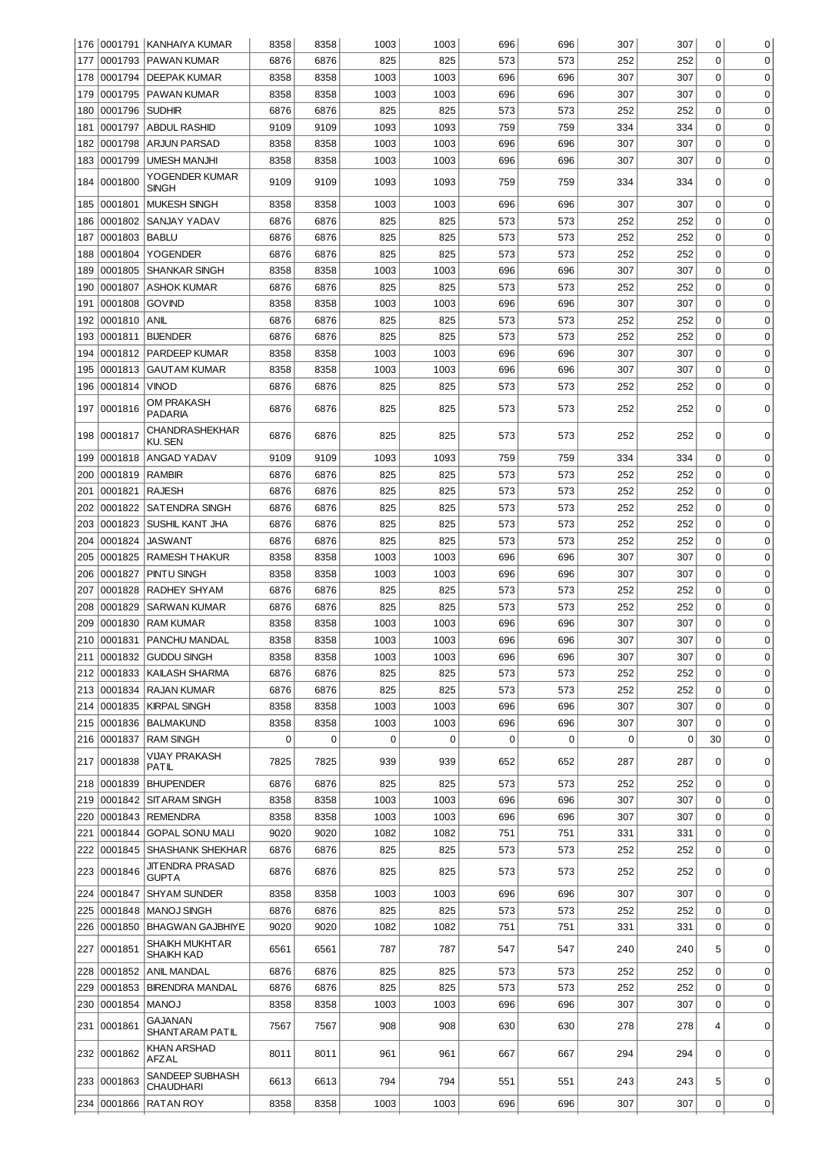|            |                    | 176   0001791   KANHAIYA KUMAR                | 8358         | 8358         | 1003        | 1003        | 696        | 696         | 307         | 307         | 0                | 0           |
|------------|--------------------|-----------------------------------------------|--------------|--------------|-------------|-------------|------------|-------------|-------------|-------------|------------------|-------------|
| 177        |                    | 0001793 PAWAN KUMAR                           | 6876         | 6876         | 825         | 825         | 573        | 573         | 252         | 252         | $\mathbf 0$      | $\mathbf 0$ |
| 178        | 0001794            | <b>DEEPAK KUMAR</b>                           | 8358         | 8358         | 1003        | 1003        | 696        | 696         | 307         | 307         | $\mathbf 0$      | $\mathbf 0$ |
| 179        | 0001795            | <b>PAWAN KUMAR</b>                            | 8358         | 8358         | 1003        | 1003        | 696        | 696         | 307         | 307         | $\mathbf 0$      | $\mathbf 0$ |
| 180        | 0001796            | <b>SUDHIR</b>                                 | 6876         | 6876         | 825         | 825         | 573        | 573         | 252         | 252         | $\mathbf 0$      | $\mathbf 0$ |
| 181        | 0001797            | <b>ABDUL RASHID</b>                           | 9109         | 9109         | 1093        | 1093        | 759        | 759         | 334         | 334         | 0                | $\mathbf 0$ |
| 182        | 0001798            | <b>ARJUN PARSAD</b>                           | 8358         | 8358         | 1003        | 1003        | 696        | 696         | 307         | 307         | $\mathbf 0$      | $\mathbf 0$ |
| 183        | 0001799            | <b>UMESH MANJHI</b>                           | 8358         | 8358         | 1003        | 1003        | 696        | 696         | 307         | 307         | $\mathbf 0$      | $\mathbf 0$ |
| 184        | 0001800            | YOGENDER KUMAR<br><b>SINGH</b>                | 9109         | 9109         | 1093        | 1093        | 759        | 759         | 334         | 334         | 0                | 0           |
| 185        | 0001801            | <b>MUKESH SINGH</b>                           | 8358         | 8358         | 1003        | 1003        | 696        | 696         | 307         | 307         | 0                | 0           |
| 186        | 0001802            | SANJAY YADAV                                  | 6876         | 6876         | 825         | 825         | 573        | 573         | 252         | 252         | 0                | 0           |
| 187        | 0001803            | <b>BABLU</b>                                  | 6876         | 6876         | 825         | 825         | 573        | 573         | 252         | 252         | 0                | 0           |
| 188        | 0001804            | <b>YOGENDER</b>                               | 6876         | 6876         | 825         | 825         | 573        | 573         | 252         | 252         | $\mathbf 0$      | 0           |
| 189        | 0001805            | <b>SHANKAR SINGH</b>                          | 8358         | 8358         | 1003        | 1003        | 696        | 696         | 307         | 307         | $\mathbf 0$      | 0           |
| 190        | 0001807            | <b>ASHOK KUMAR</b>                            | 6876         | 6876         | 825         | 825         | 573        | 573         | 252         | 252         | $\mathbf 0$      | 0           |
| 191        | 0001808            | <b>GOVIND</b>                                 | 8358         | 8358         | 1003        | 1003        | 696        | 696         | 307         | 307         | 0                | 0           |
| 192        | 0001810            | <b>ANIL</b>                                   | 6876         | 6876         | 825         | 825         | 573        | 573         | 252         | 252         | 0                | $\mathbf 0$ |
| 193        | 0001811            | <b>BIJENDER</b>                               | 6876         | 6876         | 825         | 825         | 573        | 573         | 252         | 252         | 0                | $\mathbf 0$ |
| 194        | 0001812            | PARDEEP KUMAR                                 | 8358         | 8358         | 1003        | 1003        | 696        | 696         | 307         | 307         | 0                | $\mathbf 0$ |
| 195        | 0001813            | <b>GAUTAM KUMAR</b>                           | 8358         | 8358         | 1003        | 1003        | 696        | 696         | 307         | 307         | 0                | $\mathbf 0$ |
| 196        | 0001814            | <b>VINOD</b>                                  | 6876         | 6876         | 825         | 825         | 573        | 573         | 252         | 252         | $\mathbf 0$      | $\mathbf 0$ |
|            |                    |                                               |              |              |             |             |            |             |             |             |                  |             |
| 197        | 0001816            | OM PRAKASH<br><b>PADARIA</b>                  | 6876         | 6876         | 825         | 825         | 573        | 573         | 252         | 252         | 0                | 0           |
| 198        | 0001817            | CHANDRASHEKHAR<br>KU. SEN                     | 6876         | 6876         | 825         | 825         | 573        | 573         | 252         | 252         | $\mathbf 0$      | 0           |
| 199        | 0001818            | ANGAD YADAV                                   | 9109         | 9109         | 1093        | 1093        | 759        | 759         | 334         | 334         | 0                | 0           |
| 200        | 0001819            | <b>RAMBIR</b>                                 | 6876         | 6876         | 825         | 825         | 573        | 573         | 252         | 252         | 0                | $\mathbf 0$ |
| 201        | 0001821            | <b>RAJESH</b>                                 | 6876         | 6876         | 825         | 825         | 573        | 573         | 252         | 252         | $\mathbf 0$      | $\mathbf 0$ |
| 202        | 0001822            | <b>SATENDRA SINGH</b>                         | 6876         | 6876         | 825         | 825         | 573        | 573         | 252         | 252         | $\mathbf 0$      | $\mathbf 0$ |
| 203        | 0001823            | SUSHIL KANT JHA                               | 6876         | 6876         | 825         | 825         | 573        | 573         | 252         | 252         | $\mathbf 0$      | $\mathbf 0$ |
| 204        | 0001824            | <b>JASWANT</b>                                | 6876         | 6876         | 825         | 825         | 573        | 573         | 252         | 252         | $\mathbf 0$      | 0           |
| 205        | 0001825            | <b>RAMESH THAKUR</b>                          | 8358         | 8358         | 1003        | 1003        | 696        | 696         | 307         | 307         | $\mathbf 0$      | 0           |
| 206        | 0001827            | PINTU SINGH                                   | 8358         | 8358         | 1003        | 1003        | 696        | 696         | 307         | 307         | $\mathbf 0$      | 0           |
| 207        | 0001828            | RADHEY SHYAM                                  | 6876         | 6876         | 825         | 825         | 573        | 573         | 252         | 252         | $\mathbf 0$      | 0           |
| 208        | 0001829            | <b>SARWAN KUMAR</b>                           | 6876         | 6876         | 825         | 825         | 573        | 573         | 252         | 252         | 0                | 0           |
| 209        | 0001830            | <b>RAM KUMAR</b>                              | 8358         | 8358         | 1003        | 1003        | 696        | 696         | 307         | 307         | 0                | $\mathbf 0$ |
| 210        | 0001831            | PANCHU MANDAL                                 | 8358         | 8358         | 1003        | 1003        | 696        | 696         | 307         | 307         | $\Omega$         | 0           |
|            |                    | 211 0001832 GUDDU SINGH                       | 8358         | 8358         | 1003        | 1003        | 696        | 696         | 307         | 307         | 0                | 0           |
| 212        | 0001833            | KAILASH SHARMA                                | 6876         | 6876         | 825         | 825         | 573        | 573         | 252         | 252         | $\Omega$         | 0           |
| 213        | 0001834            | <b>RAJAN KUMAR</b>                            | 6876         | 6876         | 825         | 825         | 573        | 573         | 252         | 252         | $\mathbf 0$      | $\mathbf 0$ |
| 214        | 0001835            | <b>KIRPAL SINGH</b>                           | 8358         | 8358         | 1003        | 1003        | 696        | 696         | 307         | 307         | $\mathbf 0$      | $\mathbf 0$ |
| 215        | 0001836            | <b>BALMAKUND</b>                              | 8358         | 8358         | 1003        | 1003        | 696        | 696         | 307         | 307         | $\mathbf 0$      | $\mathbf 0$ |
| 216        | 0001837            | <b>RAM SINGH</b>                              | 0            | $\mathbf 0$  | 0           | $\mathbf 0$ | 0          | $\mathbf 0$ | $\mathbf 0$ | $\mathbf 0$ | 30               | 0           |
|            |                    | <b>VIJAY PRAKASH</b>                          |              |              |             |             |            |             |             |             |                  |             |
| 217        | 0001838            | PATIL                                         | 7825         | 7825         | 939         | 939         | 652        | 652         | 287         | 287         | 0                | 0           |
| 218        | 0001839            | <b>BHUPENDER</b>                              | 6876         | 6876         | 825         | 825         | 573        | 573         | 252         | 252         | $\mathbf 0$      | $\mathbf 0$ |
| 219        | 0001842            | <b>SITARAM SINGH</b>                          | 8358         | 8358         | 1003        | 1003        | 696        | 696         | 307         | 307         | $\mathbf 0$      | $\mathbf 0$ |
| 220        |                    | 0001843 REMENDRA                              | 8358         | 8358         | 1003        | 1003        | 696        | 696         | 307         | 307         | $\Omega$         | $\mathbf 0$ |
| 221        | 0001844            | <b>GOPAL SONU MALI</b>                        | 9020         | 9020         | 1082        | 1082        | 751        | 751         | 331         | 331         | $\mathbf 0$      | $\mathbf 0$ |
| 222        | 0001845            | <b>SHASHANK SHEKHAR</b><br>JIT ENDRA PRASAD   | 6876         | 6876         | 825         | 825         | 573        | 573         | 252         | 252         | $\Omega$         | 0           |
| 223        | 0001846            | <b>GUPTA</b>                                  | 6876         | 6876         | 825         | 825         | 573        | 573         | 252         | 252         | 0                | 0           |
| 224        | 0001847            | <b>SHYAM SUNDER</b>                           | 8358         | 8358         | 1003        | 1003        | 696        | 696         | 307         | 307         | 0                | $\mathbf 0$ |
| 225<br>226 | 0001848<br>0001850 | <b>MANOJ SINGH</b><br><b>BHAGWAN GAJBHIYE</b> | 6876<br>9020 | 6876<br>9020 | 825<br>1082 | 825<br>1082 | 573<br>751 | 573<br>751  | 252<br>331  | 252<br>331  | 0<br>$\mathbf 0$ | 0<br>0      |
| 227        | 0001851            | SHAIKH MUKHTAR<br>SHAIKH KAD                  | 6561         | 6561         | 787         | 787         | 547        | 547         | 240         | 240         | 5                | $\mathbf 0$ |
| 228        | 0001852            | ANIL MANDAL                                   | 6876         | 6876         | 825         | 825         | 573        | 573         | 252         | 252         | $\boldsymbol{0}$ | $\mathbf 0$ |
| 229        | 0001853            | <b>BIRENDRA MANDAL</b>                        | 6876         | 6876         | 825         | 825         | 573        | 573         | 252         | 252         | 0                | 0           |
| 230        | 0001854            | <b>MANOJ</b>                                  | 8358         | 8358         | 1003        | 1003        | 696        | 696         | 307         | 307         | $\mathbf 0$      | $\mathbf 0$ |
| 231        | 0001861            | GAJANAN<br>SHANTARAM PATIL                    | 7567         | 7567         | 908         | 908         | 630        | 630         | 278         | 278         | $\overline{4}$   | 0           |
|            | 232 0001862        | KHAN ARSHAD<br>AFZAL                          | 8011         | 8011         | 961         | 961         | 667        | 667         | 294         | 294         | $\mathbf 0$      | $\mathbf 0$ |
|            | 233 0001863        | SANDEEP SUBHASH<br>CHAUDHARI                  | 6613         | 6613         | 794         | 794         | 551        | 551         | 243         | 243         | 5                | 0           |
|            | 234 0001866        | <b>RATAN ROY</b>                              | 8358         | 8358         | 1003        | 1003        | 696        | 696         | 307         | 307         | 0                | 0           |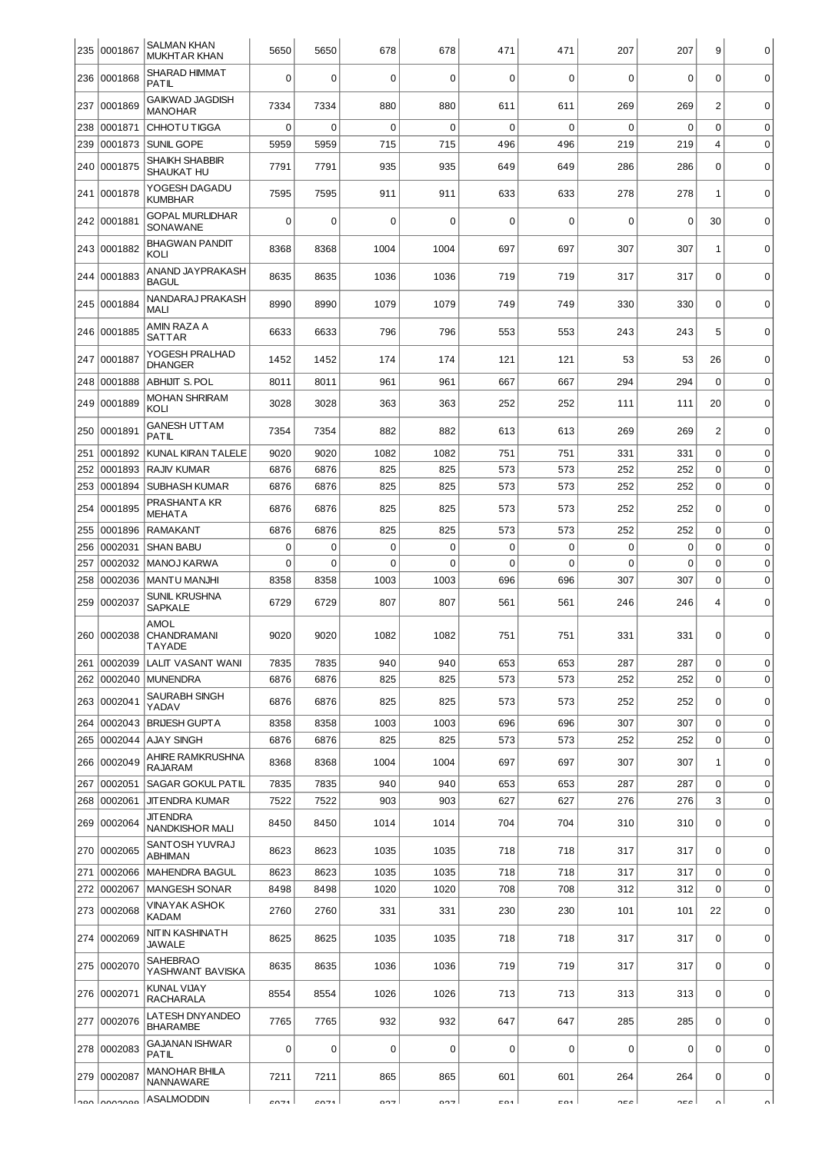| 235        | 0001867            | <b>SALMAN KHAN</b><br><b>MUKHTAR KHAN</b>              | 5650         | 5650         | 678         | 678         | 471         | 471         | 207         | 207         | 9                             | 0                |
|------------|--------------------|--------------------------------------------------------|--------------|--------------|-------------|-------------|-------------|-------------|-------------|-------------|-------------------------------|------------------|
| 236        | 0001868            | SHARAD HIMMAT<br><b>PATIL</b>                          | $\Omega$     | $\mathbf 0$  | $\Omega$    | 0           | $\mathbf 0$ | $\Omega$    | $\mathbf 0$ | 0           | $\Omega$                      | $\mathbf 0$      |
| 237        | 0001869            | <b>GAIKWAD JAGDISH</b><br><b>MANOHAR</b>               | 7334         | 7334         | 880         | 880         | 611         | 611         | 269         | 269         | $\overline{2}$                | $\mathbf 0$      |
| 238        | 0001871            | <b>CHHOTUTIGGA</b>                                     | 0            | $\mathbf 0$  | $\Omega$    | $\mathbf 0$ | $\mathbf 0$ | $\mathbf 0$ | $\mathbf 0$ | $\mathbf 0$ | $\mathbf 0$                   | $\mathbf 0$      |
| 239        | 0001873            | SUNIL GOPE                                             | 5959         | 5959         | 715         | 715         | 496         | 496         | 219         | 219         | $\overline{4}$                | $\mathbf 0$      |
| 240        | 0001875            | SHAIKH SHABBIR<br>SHAUKAT HU                           | 7791         | 7791         | 935         | 935         | 649         | 649         | 286         | 286         | $\mathbf 0$                   | $\mathbf 0$      |
|            | 241 0001878        | YOGESH DAGADU<br><b>KUMBHAR</b>                        | 7595         | 7595         | 911         | 911         | 633         | 633         | 278         | 278         | $\mathbf{1}$                  | $\mathbf 0$      |
| 242        | 0001881            | <b>GOPAL MURLIDHAR</b><br>SONAWANE                     | $\Omega$     | $\mathbf 0$  | $\Omega$    | 0           | $\Omega$    | $\Omega$    | $\Omega$    | $\Omega$    | 30                            | $\mathbf 0$      |
| 243        | 0001882            | <b>BHAGWAN PANDIT</b><br>KOLI                          | 8368         | 8368         | 1004        | 1004        | 697         | 697         | 307         | 307         | 1                             | $\mathbf 0$      |
|            | 244 0001883        | ANAND JAYPRAKASH<br><b>BAGUL</b>                       | 8635         | 8635         | 1036        | 1036        | 719         | 719         | 317         | 317         | $\mathbf 0$                   | $\mathbf 0$      |
| 245        | 0001884            | NANDARAJ PRAKASH<br><b>MALI</b>                        | 8990         | 8990         | 1079        | 1079        | 749         | 749         | 330         | 330         | $\Omega$                      | $\mathbf 0$      |
| 246        | 0001885            | AMIN RAZA A<br><b>SATTAR</b>                           | 6633         | 6633         | 796         | 796         | 553         | 553         | 243         | 243         | 5                             | $\mathbf 0$      |
| 247        | 0001887            | YOGESH PRALHAD<br><b>DHANGER</b>                       | 1452         | 1452         | 174         | 174         | 121         | 121         | 53          | 53          | 26                            | $\mathbf 0$      |
| 248        | 0001888            | <b>ABHIJIT S. POL</b>                                  | 8011         | 8011         | 961         | 961         | 667         | 667         | 294         | 294         | $\Omega$                      | $\mathbf 0$      |
| 249        | 0001889            | <b>MOHAN SHRIRAM</b><br>KOLI                           | 3028         | 3028         | 363         | 363         | 252         | 252         | 111         | 111         | 20                            | $\mathbf 0$      |
| 250        | 0001891            | <b>GANESH UTTAM</b><br><b>PATIL</b>                    | 7354         | 7354         | 882         | 882         | 613         | 613         | 269         | 269         | $\overline{2}$                | $\mathbf 0$      |
| 251        | 0001892            | KUNAL KIRAN TALELE                                     | 9020         | 9020         | 1082        | 1082        | 751         | 751         | 331         | 331         | $\mathbf 0$                   | $\mathbf 0$      |
| 252        | 0001893            | <b>RAJIV KUMAR</b>                                     | 6876         | 6876         | 825         | 825         | 573         | 573         | 252         | 252         | $\mathbf 0$                   | $\mathbf 0$      |
| 253        | 0001894            | <b>SUBHASH KUMAR</b>                                   | 6876         | 6876         | 825         | 825         | 573         | 573         | 252         | 252         | $\mathbf 0$                   | $\mathbf 0$      |
| 254        | 0001895            | PRASHANTA KR<br><b>MEHATA</b>                          | 6876         | 6876         | 825         | 825         | 573         | 573         | 252         | 252         | $\mathbf 0$                   | $\mathbf 0$      |
| 255        | 0001896            | <b>RAMAKANT</b>                                        | 6876         | 6876         | 825         | 825         | 573         | 573         | 252         | 252         | $\Omega$                      | $\mathbf 0$      |
| 256        | 0002031            | <b>SHAN BABU</b>                                       | 0            | $\mathbf 0$  | $\mathbf 0$ | $\mathbf 0$ | $\mathbf 0$ | $\mathbf 0$ | $\mathbf 0$ | $\mathbf 0$ | $\mathbf 0$                   | $\mathbf 0$      |
| 257        | 0002032            | MANOJ KARWA                                            | 0            | $\mathbf 0$  | $\mathbf 0$ | $\Omega$    | $\mathbf 0$ | $\mathbf 0$ | $\mathbf 0$ | $\mathbf 0$ | $\mathbf 0$                   | $\mathbf 0$      |
| 258<br>259 | 0002036<br>0002037 | MANTU MANJHI<br><b>SUNIL KRUSHNA</b>                   | 8358<br>6729 | 8358<br>6729 | 1003<br>807 | 1003<br>807 | 696<br>561  | 696<br>561  | 307<br>246  | 307<br>246  | $\mathbf 0$<br>$\overline{4}$ | $\mathbf 0$<br>0 |
|            | 260 0002038        | <b>SAPKALE</b><br>AMOL<br>CHANDRAMANI<br><b>TAYADE</b> | 9020         | 9020         | 1082        | 1082        | 751         | 751         | 331         | 331         | $\mathbf 0$                   | 0                |
| 261        | 0002039            | LALIT VASANT WANI                                      | 7835         | 7835         | 940         | 940         | 653         | 653         | 287         | 287         | $\mathbf 0$                   | $\mathbf 0$      |
| 262        |                    | 0002040 MUNENDRA                                       | 6876         | 6876         | 825         | 825         | 573         | 573         | 252         | 252         | $\mathbf 0$                   | $\mathbf 0$      |
|            |                    | SAURABH SINGH                                          |              |              |             |             |             |             |             |             |                               |                  |
| 263        | 0002041            | YADAV                                                  | 6876         | 6876         | 825         | 825         | 573         | 573         | 252         | 252         | $\mathbf 0$                   | $\mathbf 0$      |
| 264        | 0002043            | <b>BRUESH GUPTA</b>                                    | 8358         | 8358         | 1003        | 1003        | 696         | 696         | 307         | 307         | $\mathbf 0$                   | $\mathbf 0$      |
| 265        | 0002044            | <b>AJAY SINGH</b><br><b>AHIRE RAMKRUSHNA</b>           | 6876         | 6876         | 825         | 825         | 573         | 573         | 252         | 252         | $\mathbf 0$                   | 0                |
| 266        | 0002049            | <b>RAJARAM</b>                                         | 8368         | 8368         | 1004        | 1004        | 697         | 697         | 307         | 307         | 1                             | $\mathbf 0$      |
| 267        | 0002051            | SAGAR GOKUL PATIL                                      | 7835         | 7835         | 940         | 940         | 653         | 653         | 287         | 287         | $\mathbf 0$                   | $\mathbf 0$      |
| 268        | 0002061            | <b>JIT ENDRA KUMAR</b>                                 | 7522         | 7522         | 903         | 903         | 627         | 627         | 276         | 276         | 3                             | $\mathbf 0$      |
| 269        | 0002064            | JIT ENDRA<br><b>NANDKISHOR MALI</b>                    | 8450         | 8450         | 1014        | 1014        | 704         | 704         | 310         | 310         | $\mathbf 0$                   | $\mathbf 0$      |
|            | 270 0002065        | SANTOSH YUVRAJ<br><b>ABHIMAN</b>                       | 8623         | 8623         | 1035        | 1035        | 718         | 718         | 317         | 317         | $\Omega$                      | $\pmb{0}$        |
| 271        | 0002066            | <b>MAHENDRA BAGUL</b>                                  | 8623         | 8623         | 1035        | 1035        | 718         | 718         | 317         | 317         | $\mathbf 0$                   | $\mathbf 0$      |
| 272        | 0002067            | <b>MANGESH SONAR</b>                                   | 8498         | 8498         | 1020        | 1020        | 708         | 708         | 312         | 312         | $\mathbf 0$                   | $\mathbf 0$      |
| 273        | 0002068            | VINAYAK ASHOK<br><b>KADAM</b>                          | 2760         | 2760         | 331         | 331         | 230         | 230         | 101         | 101         | 22                            | $\mathbf 0$      |
|            | 274 0002069        | NITIN KASHINATH<br><b>JAWALE</b>                       | 8625         | 8625         | 1035        | 1035        | 718         | 718         | 317         | 317         | $\mathbf 0$                   | 0                |
| 275        | 0002070            | SAHEBRAO<br>YASHWANT BAVISKA                           | 8635         | 8635         | 1036        | 1036        | 719         | 719         | 317         | 317         | $\mathbf 0$                   | $\mathbf 0$      |
| 276        | 0002071            | KUNAL VIJAY<br><b>RACHARALA</b>                        | 8554         | 8554         | 1026        | 1026        | 713         | 713         | 313         | 313         | $\mathbf 0$                   | $\mathbf 0$      |
| 277        | 0002076            | LATESH DNY ANDEO<br><b>BHARAMBE</b>                    | 7765         | 7765         | 932         | 932         | 647         | 647         | 285         | 285         | $\mathbf 0$                   | 0                |
| 278        | 0002083            | <b>GAJANAN ISHWAR</b><br><b>PATIL</b>                  | $\Omega$     | $\mathbf 0$  | $\mathbf 0$ | $\mathbf 0$ | $\mathbf 0$ | $\mathbf 0$ | $\mathbf 0$ | 0           | $\Omega$                      | $\mathbf 0$      |
|            | 279 0002087        | <b>MANOHAR BHILA</b><br>NANNAWARE                      | 7211         | 7211         | 865         | 865         | 601         | 601         | 264         | 264         | $\mathbf 0$                   | $\mathbf 0$      |
|            | ann Lonnanna       | ASALMODDIN                                             | 0.71         | 0.71         | 027         | דרח         | mo4         | <b>EO1</b>  | OE C        | OE C        | ៱∣                            | $\sim$           |